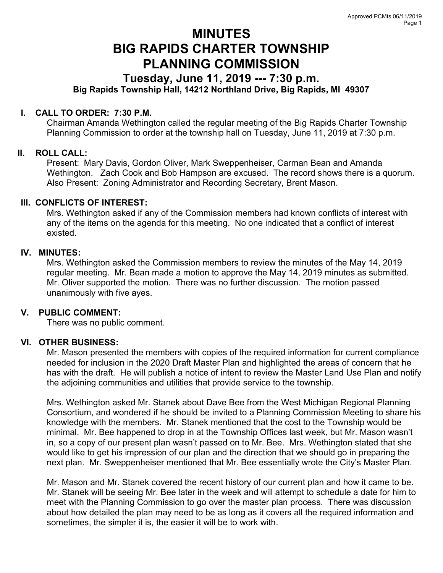# MINUTES BIG RAPIDS CHARTER TOWNSHIP PLANNING COMMISSION

## Tuesday, June 11, 2019 --- 7:30 p.m.

Big Rapids Township Hall, 14212 Northland Drive, Big Rapids, MI 49307

#### I. CALL TO ORDER: 7:30 P.M.

Chairman Amanda Wethington called the regular meeting of the Big Rapids Charter Township Planning Commission to order at the township hall on Tuesday, June 11, 2019 at 7:30 p.m.

### II. ROLL CALL:

Present: Mary Davis, Gordon Oliver, Mark Sweppenheiser, Carman Bean and Amanda Wethington. Zach Cook and Bob Hampson are excused. The record shows there is a quorum. Also Present: Zoning Administrator and Recording Secretary, Brent Mason.

#### III. CONFLICTS OF INTEREST:

Mrs. Wethington asked if any of the Commission members had known conflicts of interest with any of the items on the agenda for this meeting. No one indicated that a conflict of interest existed.

#### IV. MINUTES:

Mrs. Wethington asked the Commission members to review the minutes of the May 14, 2019 regular meeting. Mr. Bean made a motion to approve the May 14, 2019 minutes as submitted. Mr. Oliver supported the motion. There was no further discussion. The motion passed unanimously with five ayes.

#### V. PUBLIC COMMENT:

There was no public comment.

#### VI. OTHER BUSINESS:

Mr. Mason presented the members with copies of the required information for current compliance needed for inclusion in the 2020 Draft Master Plan and highlighted the areas of concern that he has with the draft. He will publish a notice of intent to review the Master Land Use Plan and notify the adjoining communities and utilities that provide service to the township.

Mrs. Wethington asked Mr. Stanek about Dave Bee from the West Michigan Regional Planning Consortium, and wondered if he should be invited to a Planning Commission Meeting to share his knowledge with the members. Mr. Stanek mentioned that the cost to the Township would be minimal. Mr. Bee happened to drop in at the Township Offices last week, but Mr. Mason wasn't in, so a copy of our present plan wasn't passed on to Mr. Bee. Mrs. Wethington stated that she would like to get his impression of our plan and the direction that we should go in preparing the next plan. Mr. Sweppenheiser mentioned that Mr. Bee essentially wrote the City's Master Plan.

Mr. Mason and Mr. Stanek covered the recent history of our current plan and how it came to be. Mr. Stanek will be seeing Mr. Bee later in the week and will attempt to schedule a date for him to meet with the Planning Commission to go over the master plan process. There was discussion about how detailed the plan may need to be as long as it covers all the required information and sometimes, the simpler it is, the easier it will be to work with.